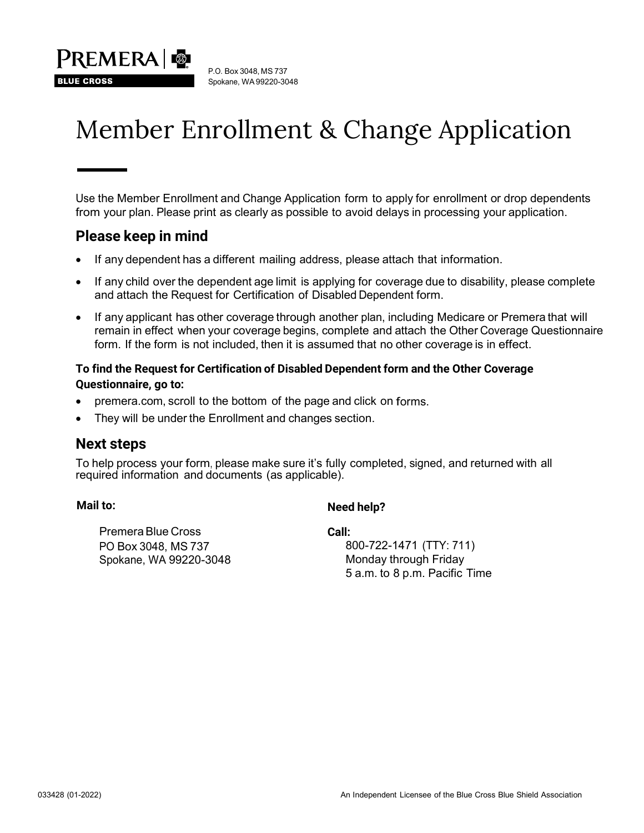

# Member Enrollment & Change Application

 Use the Member Enrollment and Change Application form to apply for enrollment or drop dependents from your plan. Please print as clearly as possible to avoid delays in processing your application.

# **Please keep in mind**

**BLUE CROSS** 

- If any dependent has a different mailing address, please attach that information.
- and attach the Request for Certification of Disabled Dependent form. • If any child over the dependent age limit is applying for coverage due to disability, please complete
- • If any applicant has other coverage through another plan, including Medicare or Premera that will remain in effect when your coverage begins, complete and attach the Other Coverage Questionnaire form. If the form is not included, then it is assumed that no other coverage is in effect.

# **To find the Request for Certification of Disabled Dependent form and the Other Coverage Questionnaire, go to:**

- [premera.com,](https://premera.com) scroll to the bottom of the page and click on forms.
- They will be under the Enrollment and changes section.

# **Next steps**

 To help process your form, please make sure it's fully completed, signed, and returned with all required information and documents (as applicable).

# **Mail to:** Need help?

 Premera Blue Cross **Call:**  PO Box 3048, MS 737 Spokane, WA 99220-3048 Monday through Friday

 5 a.m. to 8 p.m. Pacific Time 800-722-1471 (TTY: 711)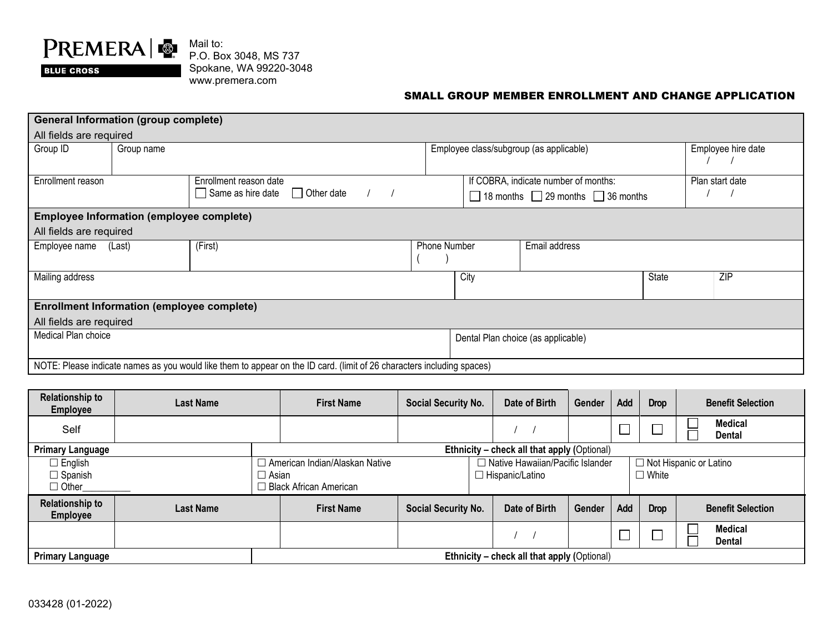

Mail to: P.O. Box 3048, MS 737 Spokane, WA 99220-3048 [www.premera.com](http://www.premera.com)

#### SMALL GROUP MEMBER ENROLLMENT AND CHANGE APPLICATION

| <b>General Information (group complete)</b>                                                                            |            |                                   |                     |                                                    |  |                    |     |  |  |  |
|------------------------------------------------------------------------------------------------------------------------|------------|-----------------------------------|---------------------|----------------------------------------------------|--|--------------------|-----|--|--|--|
| All fields are required                                                                                                |            |                                   |                     |                                                    |  |                    |     |  |  |  |
| Group ID                                                                                                               | Group name |                                   |                     | Employee class/subgroup (as applicable)            |  | Employee hire date |     |  |  |  |
| Enrollment reason                                                                                                      |            | Enrollment reason date            |                     | If COBRA, indicate number of months:               |  | Plan start date    |     |  |  |  |
|                                                                                                                        |            | Same as hire date<br>  Other date |                     | $\Box$ 18 months $\Box$ 29 months $\Box$ 36 months |  |                    |     |  |  |  |
| <b>Employee Information (employee complete)</b>                                                                        |            |                                   |                     |                                                    |  |                    |     |  |  |  |
| All fields are required                                                                                                |            |                                   |                     |                                                    |  |                    |     |  |  |  |
| Employee name                                                                                                          | (Last)     | (First)                           | <b>Phone Number</b> | Email address                                      |  |                    |     |  |  |  |
| Mailing address                                                                                                        |            |                                   |                     | City                                               |  |                    | ZIP |  |  |  |
| <b>Enrollment Information (employee complete)</b>                                                                      |            |                                   |                     |                                                    |  |                    |     |  |  |  |
| All fields are required                                                                                                |            |                                   |                     |                                                    |  |                    |     |  |  |  |
| Medical Plan choice<br>Dental Plan choice (as applicable)                                                              |            |                                   |                     |                                                    |  |                    |     |  |  |  |
| NOTE: Please indicate names as you would like them to appear on the ID card. (limit of 26 characters including spaces) |            |                                   |                     |                                                    |  |                    |     |  |  |  |

| <b>Relationship to</b><br><b>Employee</b>                              | <b>Last Name</b> | <b>First Name</b>                                                       | <b>Social Security No.</b> | Date of Birth                                                | Gender | Add | <b>Drop</b>                                   | <b>Benefit Selection</b>        |
|------------------------------------------------------------------------|------------------|-------------------------------------------------------------------------|----------------------------|--------------------------------------------------------------|--------|-----|-----------------------------------------------|---------------------------------|
| Self                                                                   |                  |                                                                         |                            |                                                              |        |     |                                               | <b>Medical</b><br>Dental        |
| <b>Primary Language</b><br>Ethnicity - check all that apply (Optional) |                  |                                                                         |                            |                                                              |        |     |                                               |                                 |
| $\Box$ English<br>$\Box$ Spanish<br>$\Box$ Other                       |                  | □ American Indian/Alaskan Native<br>□ Asian<br>□ Black African American |                            | $\Box$ Native Hawaiian/Pacific Islander<br>□ Hispanic/Latino |        |     | $\Box$ Not Hispanic or Latino<br>$\Box$ White |                                 |
| <b>Relationship to</b><br><b>Employee</b>                              | <b>Last Name</b> | <b>First Name</b>                                                       | <b>Social Security No.</b> | Date of Birth                                                | Gender | Add | <b>Drop</b>                                   | <b>Benefit Selection</b>        |
|                                                                        |                  |                                                                         |                            |                                                              |        |     |                                               | <b>Medical</b><br><b>Dental</b> |
| <b>Primary Language</b>                                                |                  | Ethnicity - check all that apply (Optional)                             |                            |                                                              |        |     |                                               |                                 |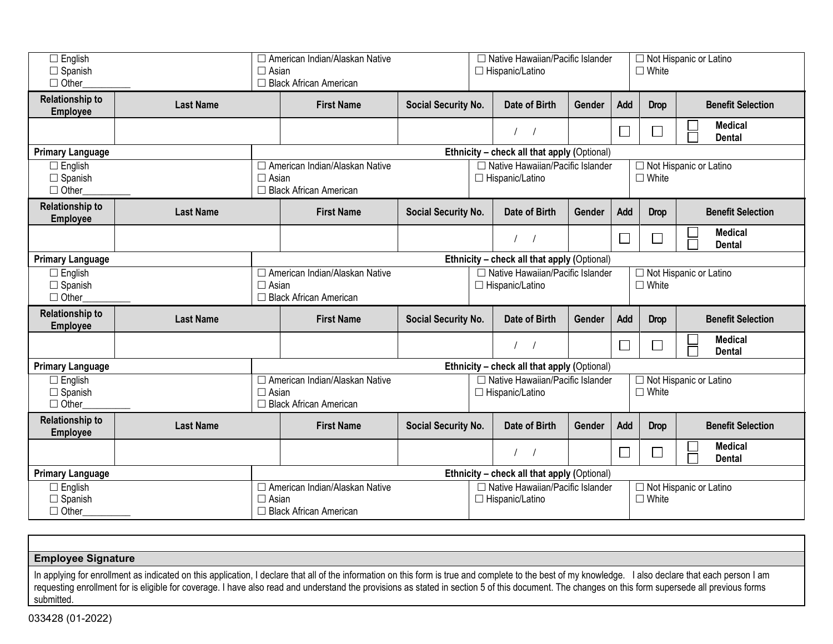| $\Box$ English<br>$\Box$ Spanish<br>$\Box$ Other |                                             | $\Box$ Asian                                                                                                                                                                             | □ American Indian/Alaskan Native<br>□ Black African American |                     |                                                              | □ Native Hawaiian/Pacific Islander<br>□ Hispanic/Latino                                                       |        |        | $\Box$ White                                  | $\Box$ Not Hispanic or Latino   |  |
|--------------------------------------------------|---------------------------------------------|------------------------------------------------------------------------------------------------------------------------------------------------------------------------------------------|--------------------------------------------------------------|---------------------|--------------------------------------------------------------|---------------------------------------------------------------------------------------------------------------|--------|--------|-----------------------------------------------|---------------------------------|--|
| <b>Relationship to</b><br><b>Employee</b>        | <b>Last Name</b>                            |                                                                                                                                                                                          | <b>First Name</b>                                            | Social Security No. |                                                              | Date of Birth                                                                                                 | Gender | Add    | <b>Drop</b>                                   | <b>Benefit Selection</b>        |  |
|                                                  |                                             |                                                                                                                                                                                          |                                                              |                     |                                                              | $\sqrt{ }$                                                                                                    |        | $\Box$ |                                               | <b>Medical</b><br><b>Dental</b> |  |
| <b>Primary Language</b>                          |                                             |                                                                                                                                                                                          | Ethnicity - check all that apply (Optional)                  |                     |                                                              |                                                                                                               |        |        |                                               |                                 |  |
| $\Box$ English<br>$\Box$ Spanish<br>$\Box$ Other |                                             | □ American Indian/Alaskan Native<br>$\Box$ Asian<br>□ Black African American                                                                                                             |                                                              |                     |                                                              | □ Native Hawaiian/Pacific Islander<br>$\Box$ Not Hispanic or Latino<br>$\Box$ White<br>$\Box$ Hispanic/Latino |        |        |                                               |                                 |  |
| <b>Relationship to</b><br><b>Employee</b>        | <b>Last Name</b>                            |                                                                                                                                                                                          | <b>First Name</b>                                            | Social Security No. |                                                              | Date of Birth                                                                                                 | Gender | Add    | <b>Drop</b>                                   | <b>Benefit Selection</b>        |  |
|                                                  |                                             |                                                                                                                                                                                          |                                                              |                     |                                                              | $\sqrt{ }$                                                                                                    |        | $\Box$ | └                                             | <b>Medical</b><br><b>Dental</b> |  |
| <b>Primary Language</b>                          | Ethnicity - check all that apply (Optional) |                                                                                                                                                                                          |                                                              |                     |                                                              |                                                                                                               |        |        |                                               |                                 |  |
| $\Box$ English<br>$\Box$ Spanish<br>$\Box$ Other |                                             | □ American Indian/Alaskan Native<br>□ Native Hawaiian/Pacific Islander<br>□ Not Hispanic or Latino<br>$\Box$ White<br>$\Box$ Asian<br>□ Hispanic/Latino<br>$\Box$ Black African American |                                                              |                     |                                                              |                                                                                                               |        |        |                                               |                                 |  |
| <b>Relationship to</b><br><b>Employee</b>        | <b>Last Name</b>                            |                                                                                                                                                                                          | <b>First Name</b>                                            | Social Security No. |                                                              | Date of Birth                                                                                                 | Gender | Add    | <b>Drop</b>                                   | <b>Benefit Selection</b>        |  |
|                                                  |                                             |                                                                                                                                                                                          |                                                              |                     |                                                              | $\frac{1}{2}$                                                                                                 |        | $\Box$ |                                               | <b>Medical</b><br><b>Dental</b> |  |
| <b>Primary Language</b>                          |                                             | Ethnicity - check all that apply (Optional)                                                                                                                                              |                                                              |                     |                                                              |                                                                                                               |        |        |                                               |                                 |  |
| $\Box$ English<br>$\Box$ Spanish<br>$\Box$ Other |                                             | □ American Indian/Alaskan Native<br>$\Box$ Asian<br>□ Black African American                                                                                                             |                                                              |                     | □ Native Hawaiian/Pacific Islander<br>$\Box$ Hispanic/Latino |                                                                                                               |        |        | $\Box$ Not Hispanic or Latino<br>$\Box$ White |                                 |  |
| <b>Relationship to</b><br><b>Employee</b>        | <b>Last Name</b>                            |                                                                                                                                                                                          | <b>First Name</b>                                            | Social Security No. |                                                              | Date of Birth                                                                                                 | Gender | Add    | <b>Drop</b>                                   | <b>Benefit Selection</b>        |  |
|                                                  |                                             |                                                                                                                                                                                          |                                                              |                     |                                                              | $\sqrt{2}$                                                                                                    |        | $\Box$ | L.                                            | <b>Medical</b><br><b>Dental</b> |  |
| <b>Primary Language</b>                          | Ethnicity - check all that apply (Optional) |                                                                                                                                                                                          |                                                              |                     |                                                              |                                                                                                               |        |        |                                               |                                 |  |
| $\Box$ English<br>$\Box$ Spanish<br>$\Box$ Other |                                             | □ American Indian/Alaskan Native<br>$\Box$ Asian<br>$\Box$ Black African American                                                                                                        |                                                              |                     | □ Native Hawaiian/Pacific Islander<br>$\Box$ Hispanic/Latino |                                                                                                               |        |        | □ Not Hispanic or Latino<br>$\Box$ White      |                                 |  |

**Employee Signature** 

In applying for enrollment as indicated on this application, I declare that all of the information on this form is true and complete to the best of my knowledge. I also declare that each person I am requesting enrollment for is eligible for coverage. I have also read and understand the provisions as stated in section 5 of this document. The changes on this form supersede all previous forms submitted.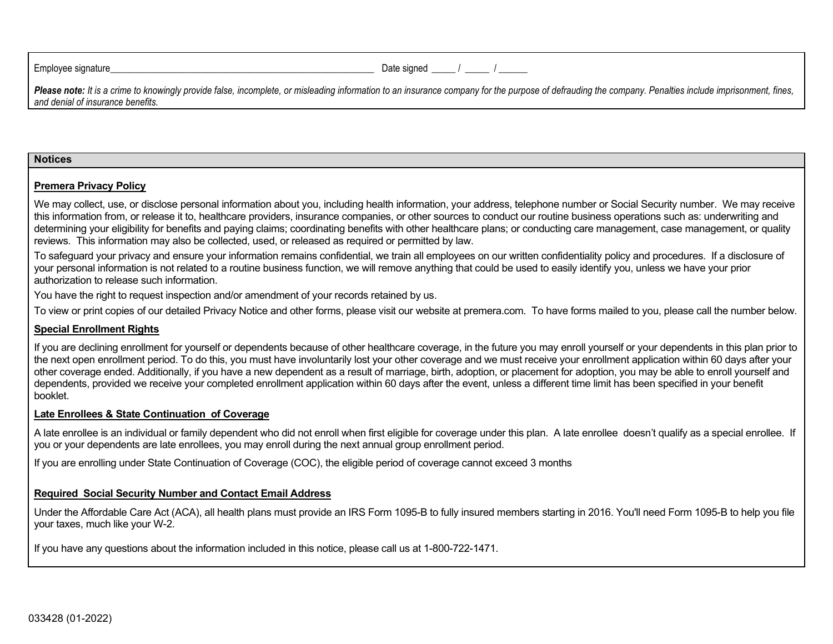Employee signature\_\_\_\_\_\_\_\_\_\_\_\_\_\_\_\_\_\_\_\_\_\_\_\_\_\_\_\_\_\_\_\_\_\_\_\_\_\_\_\_\_\_\_\_\_\_\_\_\_\_\_\_\_\_\_ Date signed \_\_\_\_\_ / \_\_\_\_\_ / \_\_\_\_\_\_

Please note: It is a crime to knowingly provide false, incomplete, or misleading information to an insurance company for the purpose of defrauding the company. Penalties include imprisonment, fines, *and denial of insurance benefits.* 

#### **Notices**

#### **Premera Privacy Policy**

 We may collect, use, or disclose personal information about you, including health information, your address, telephone number or Social Security number. We may receive this information from, or release it to, healthcare providers, insurance companies, or other sources to conduct our routine business operations such as: underwriting and determining your eligibility for benefits and paying claims; coordinating benefits with other healthcare plans; or conducting care management, case management, or quality reviews. This information may also be collected, used, or released as required or permitted by law.

 To safeguard your privacy and ensure your information remains confidential, we train all employees on our written confidentiality policy and procedures. If a disclosure of your personal information is not related to a routine business function, we will remove anything that could be used to easily identify you, unless we have your prior authorization to release such information.

You have the right to request inspection and/or amendment of your records retained by us.

To view or print copies of our detailed Privacy Notice and other forms, please visit our website at [premera.com.](http://www.premera.com/) To have forms mailed to you, please call the number below.

#### **Special Enrollment Rights**

 If you are declining enrollment for yourself or dependents because of other healthcare coverage, in the future you may enroll yourself or your dependents in this plan prior to the next open enrollment period. To do this, you must have involuntarily lost your other coverage and we must receive your enrollment application within 60 days after your other coverage ended. Additionally, if you have a new dependent as a result of marriage, birth, adoption, or placement for adoption, you may be able to enroll yourself and dependents, provided we receive your completed enrollment application within 60 days after the event, unless a different time limit has been specified in your benefit booklet.

#### **Late Enrollees & State Continuation of Coverage**

 A late enrollee is an individual or family dependent who did not enroll when first eligible for coverage under this plan. A late enrollee doesn't qualify as a special enrollee. If you or your dependents are late enrollees, you may enroll during the next annual group enrollment period.

If you are enrolling under State Continuation of Coverage (COC), the eligible period of coverage cannot exceed 3 months

#### **Required Social Security Number and Contact Email Address**

 Under the Affordable Care Act (ACA), all health plans must provide an IRS Form 1095-B to fully insured members starting in 2016. You'll need Form 1095-B to help you file your taxes, much like your W-2.

If you have any questions about the information included in this notice, please call us at 1-800-722-1471.